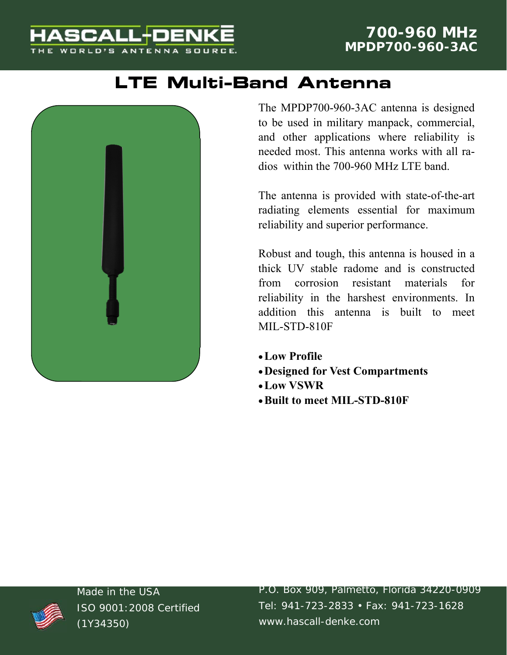#### **HASCALL-DENK** WORLD'S ANTENNA SOURC

## **LTE Multi-Band Antenna**



The MPDP700-960-3AC antenna is designed to be used in military manpack, commercial, and other applications where reliability is needed most. This antenna works with all radios within the 700-960 MHz LTE band.

The antenna is provided with state-of-the-art radiating elements essential for maximum reliability and superior performance.

Robust and tough, this antenna is housed in a thick UV stable radome and is constructed from corrosion resistant materials for reliability in the harshest environments. In addition this antenna is built to meet MIL-STD-810F

- **Low Profile**
- **Designed for Vest Compartments**
- **Low VSWR**
- **Built to meet MIL-STD-810F**



Made in the USA ISO 9001:2008 Certified (1Y34350)

P.O. Box 909, Palmetto, Florida 34220-0909 Tel: 941-723-2833 • Fax: 941-723-1628 www.hascall-denke.com